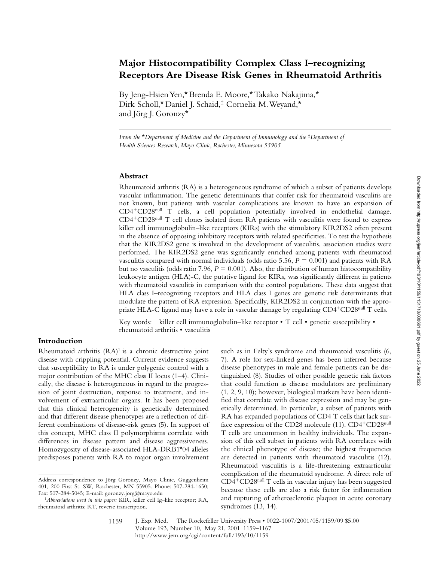# **Major Histocompatibility Complex Class I–recognizing Receptors Are Disease Risk Genes in Rheumatoid Arthritis**

By Jeng-Hsien Yen,\* Brenda E. Moore,\* Takako Nakajima,\* Dirk Scholl,\* Daniel J. Schaid,‡ Cornelia M. Weyand,\* and Jörg J. Goronzy\*

*From the* \**Department of Medicine and the Department of Immunology and the* ‡*Department of Health Sciences Research, Mayo Clinic, Rochester, Minnesota 55905*

## **Abstract**

Rheumatoid arthritis (RA) is a heterogeneous syndrome of which a subset of patients develops vascular inflammation. The genetic determinants that confer risk for rheumatoid vasculitis are not known, but patients with vascular complications are known to have an expansion of CD4<sup>1</sup>CD28null T cells, a cell population potentially involved in endothelial damage. CD4<sup>+</sup>CD28<sup>null</sup> T cell clones isolated from RA patients with vasculitis were found to express killer cell immunoglobulin–like receptors (KIRs) with the stimulatory KIR2DS2 often present in the absence of opposing inhibitory receptors with related specificities. To test the hypothesis that the KIR2DS2 gene is involved in the development of vasculitis, association studies were performed. The KIR2DS2 gene was significantly enriched among patients with rheumatoid vasculitis compared with normal individuals (odds ratio 5.56,  $P = 0.001$ ) and patients with RA but no vasculitis (odds ratio 7.96,  $P = 0.001$ ). Also, the distribution of human histocompatibility leukocyte antigen (HLA)-C, the putative ligand for KIRs, was significantly different in patients with rheumatoid vasculitis in comparison with the control populations. These data suggest that HLA class I–recognizing receptors and HLA class I genes are genetic risk determinants that modulate the pattern of RA expression. Specifically, KIR2DS2 in conjunction with the appropriate HLA-C ligand may have a role in vascular damage by regulating  $CD4^+CD28^{\text{null}}$  T cells.

Key words: killer cell immunoglobulin–like receptor • T cell • genetic susceptibility • rheumatoid arthritis • vasculitis

## **Introduction**

Rheumatoid arthritis  $(RA)^1$  is a chronic destructive joint disease with crippling potential. Current evidence suggests that susceptibility to RA is under polygenic control with a major contribution of the MHC class II locus (1–4). Clinically, the disease is heterogeneous in regard to the progression of joint destruction, response to treatment, and involvement of extraarticular organs. It has been proposed that this clinical heterogeneity is genetically determined and that different disease phenotypes are a reflection of different combinations of disease-risk genes (5). In support of this concept, MHC class II polymorphisms correlate with differences in disease pattern and disease aggressiveness. Homozygosity of disease-associated HLA-DRB1\*04 alleles predisposes patients with RA to major organ involvement such as in Felty's syndrome and rheumatoid vasculitis (6, 7). A role for sex-linked genes has been inferred because disease phenotypes in male and female patients can be distinguished (8). Studies of other possible genetic risk factors that could function as disease modulators are preliminary (1, 2, 9, 10); however, biological markers have been identified that correlate with disease expression and may be genetically determined. In particular, a subset of patients with RA has expanded populations of CD4 T cells that lack surface expression of the CD28 molecule  $(11)$ . CD4<sup>+</sup>CD28<sup>null</sup> T cells are uncommon in healthy individuals. The expansion of this cell subset in patients with RA correlates with the clinical phenotype of disease; the highest frequencies are detected in patients with rheumatoid vasculitis (12). Rheumatoid vasculitis is a life-threatening extraarticular complication of the rheumatoid syndrome. A direct role of  $CD4+CD28<sup>null</sup>$  T cells in vascular injury has been suggested because these cells are also a risk factor for inflammation and rupturing of atherosclerotic plaques in acute coronary syndromes (13, 14).

Address correspondence to Jörg Goronzy, Mayo Clinic, Guggenheim 401, 200 First St. SW, Rochester, MN 55905. Phone: 507-284-1650; Fax: 507-284-5045; E-mail: goronzy.jorg@mayo.edu

<sup>1</sup>*Abbreviations used in this paper:* KIR, killer cell Ig–like receptor; RA, rheumatoid arthritis; RT, reverse transcription.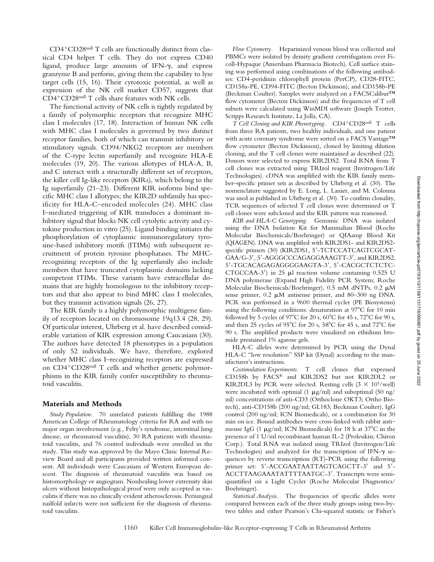$CD4+CD28$ <sup>null</sup> T cells are functionally distinct from classical CD4 helper T cells. They do not express CD40 ligand, produce large amounts of IFN- $\gamma$ , and express granzyme B and perforin, giving them the capability to lyse target cells (15, 16). Their cytotoxic potential, as well as expression of the NK cell marker CD57, suggests that CD4<sup>+</sup>CD28<sup>null</sup> T cells share features with NK cells.

The functional activity of NK cells is tightly regulated by a family of polymorphic receptors that recognize MHC class I molecules (17, 18). Interaction of human NK cells with MHC class I molecules is governed by two distinct receptor families, both of which can transmit inhibitory or stimulatory signals. CD94/NKG2 receptors are members of the C-type lectin superfamily and recognize HLA-E molecules (19, 20). The various allotypes of HLA-A, B, and C interact with a structurally different set of receptors, the killer cell Ig-like receptors (KIRs), which belong to the Ig superfamily (21–23). Different KIR isoforms bind specific MHC class I allotypes; the KIR2D subfamily has specificity for HLA-C–encoded molecules (24). MHC class I–mediated triggering of KIR transduces a dominant inhibitory signal that blocks NK cell cytolytic activity and cytokine production in vitro (25). Ligand binding initiates the phosphorylation of cytoplasmic immunoregulatory tyrosine-based inhibitory motifs (ITIMs) with subsequent recruitment of protein tyrosine phosphatases. The MHCrecognizing receptors of the Ig superfamily also include members that have truncated cytoplasmic domains lacking competent ITIMs. These variants have extracellular domains that are highly homologous to the inhibitory receptors and that also appear to bind MHC class I molecules, but they transmit activation signals (26, 27).

The KIR family is a highly polymorphic multigene family of receptors located on chromosome 19q13.4 (28, 29). Of particular interest, Uhrberg et al*.* have described considerable variation of KIR expression among Caucasians (30). The authors have detected 18 phenotypes in a population of only 52 individuals. We have, therefore, explored whether MHC class I–recognizing receptors are expressed on CD4<sup>+</sup>CD28<sup>null</sup> T cells and whether genetic polymorphisms in the KIR family confer susceptibility to rheumatoid vasculitis.

#### **Materials and Methods**

*Study Population.* 70 unrelated patients fulfilling the 1988 American College of Rheumatology criteria for RA and with no major organ involvement (e.g., Felty's syndrome, interstitial lung disease, or rheumatoid vasculitis), 30 RA patients with rheumatoid vasculitis, and 76 control individuals were enrolled in the study. This study was approved by the Mayo Clinic Internal Review Board and all participants provided written informed consent. All individuals were Caucasians of Western European descent. The diagnosis of rheumatoid vasculitis was based on histomorphology or angiogram. Nonhealing lower extremity skin ulcers without histopathological proof were only accepted as vasculitis if there was no clinically evident atherosclerosis. Periungual nailfold infarcts were not sufficient for the diagnosis of rheumatoid vasculitis.

*Flow Cytometry.* Heparinized venous blood was collected and PBMCs were isolated by density gradient centrifugation over Ficoll-Hypaque (Amersham Pharmacia Biotech). Cell surface staining was performed using combinations of the following antibodies: CD4-peridinin chlorophyll protein (PerCP), CD28-FITC, CD158a-PE, CD94-FITC (Becton Dickinson), and CD158b-PE (Beckman Coulter). Samples were analyzed on a FACSCalibur™ flow cytometer (Becton Dickinson) and the frequencies of T cell subsets were calculated using WinMDI software (Joseph Trotter, Scripps Research Institute, La Jolla, CA).

*T* Cell Cloning and KIR Phenotyping. CD4+CD28null T cells from three RA patients, two healthy individuals, and one patient with acute coronary syndrome were sorted on a FACS Vantage™ flow cytometer (Becton Dickinson), cloned by limiting dilution cloning, and the T cell clones were maintained as described (22). Donors were selected to express KIR2DS2. Total RNA from T cell clones was extracted using TRIzol reagent (Invitrogen/Life Technologies). cDNA was amplified with the KIR family member–specific primer sets as described by Uhrberg et al*.* (30)*.* The nomenclature suggested by E. Long, L. Lanier, and M. Colonna was used as published in Uhrberg et al*.* (30). To confirm clonality, TCR sequences of selected T cell clones were determined or T cell clones were subcloned and the KIR pattern was reassessed.

*KIR and HLA-C Genotyping.* Genomic DNA was isolated using the DNA Isolation Kit for Mammalian Blood (Roche Molecular Biochemicals/Boehringer) or QIAamp Blood Kit (QIAGEN). DNA was amplified with KIR2DS1- and KIR2DS2 specific primers (30) (KIR2DS1, 5'-TCTCCATCAGTCGCAT-GAA/G-3', 5'-AGGGCCCAGAGGAAAGTT-3', and KIR2DS2, 5'-TGCACAGAGAGGGGAAGTA-3', 5'-CACGCTCTCTC-CTGCCAA-3') in 25  $\mu$ l reaction volume containing 0.525 U DNA polymerase (Expand High Fidelity PCR System; Roche Molecular Biochemicals/Boehringer),  $0.5$  mM dNTPs,  $0.2 \mu M$ sense primer,  $0.2 \mu M$  antisense primer, and  $80-300$  ng DNA. PCR was performed in a 9600 thermal cycler (PE Biosystems) using the following conditions: denaturation at  $97^{\circ}$ C for 10 min followed by 5 cycles of  $97^{\circ}$ C for 20 s,  $60^{\circ}$ C for 45 s,  $72^{\circ}$ C for 90 s, and then 25 cycles of 95°C for 20 s, 58°C for 45 s, and 72°C for 90 s. The amplified products were visualized on ethidium bromide prestained 1% agarose gels.

HLA-C alleles were determined by PCR using the Dynal HLA-C "low resolution" SSP kit (Dynal) according to the manufacturer's instructions.

*Costimulation Experiments.* T cell clones that expressed CD158b by FACS® and KIR2DS2 but not KIR2DL2 or KIR2DL3 by PCR were selected. Resting cells  $(3 \times 10^5/\text{well})$ were incubated with optimal (1  $\mu$ g/ml) and suboptimal (50 ng/ ml) concentrations of anti-CD3 (Orthoclone OKT3; Ortho Biotech), anti-CD158b (200 ng/ml; GL183; Beckman Coulter), IgG control (200 ng/ml; ICN Biomedicals), or a combination for 30 min on ice. Bound antibodies were cross-linked with rabbit anti– mouse IgG (1  $\mu$ g/ml; ICN Biomedicals) for 18 h at 37°C in the presence of 1 U/ml recombinant human IL-2 (Proleukin; Chiron Corp.). Total RNA was isolated using TRIzol (Invitrogen/Life Technologies) and analyzed for the transcription of IFN- $\gamma$  sequences by reverse transcription (RT)-PCR using the following primer set: 5'-ACCGAATAATTAGTCAGCTT-3' and 5'-ACCTTAAGAAATATTTTAATGC-3'. Transcripts were semiquantified on a Light Cycler (Roche Molecular Diagnostics/ Boehringer).

*Statistical Analysis.* The frequencies of specific alleles were compared between each of the three study groups using two-bytwo tables and either Pearson's Chi-squared statistic or Fisher's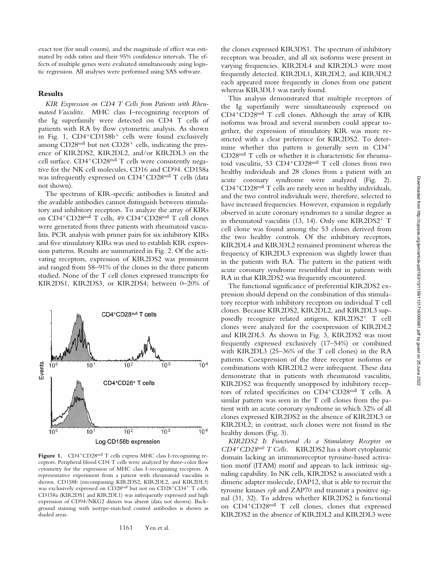exact test (for small counts), and the magnitude of effect was estimated by odds ratios and their 95% confidence intervals. The effects of multiple genes were evaluated simultaneously using logistic regression. All analyses were performed using SAS software.

## **Results**

*KIR Expression on CD4 T Cells from Patients with Rheumatoid Vasculitis.* MHC class I–recognizing receptors of the Ig superfamily were detected on CD4 T cells of patients with RA by flow cytometric analysis. As shown in Fig. 1,  $CD4+CD158b+$  cells were found exclusively among  $CD28<sup>null</sup>$  but not  $CD28<sup>+</sup>$  cells, indicating the presence of KIR2DS2, KIR2DL2, and/or KIR2DL3 on the cell surface.  $CD4+CD28$ <sup>null</sup> T cells were consistently negative for the NK cell molecules, CD16 and CD94. CD158a was infrequently expressed on  $CD4+CD28$ <sup>null</sup> T cells (data not shown).

The spectrum of KIR-specific antibodies is limited and the available antibodies cannot distinguish between stimulatory and inhibitory receptors. To analyze the array of KIRs on CD4<sup>+</sup>CD28<sup>null</sup> T cells, 49 CD4<sup>+</sup>CD28<sup>null</sup> T cell clones were generated from three patients with rheumatoid vasculitis. PCR analysis with primer pairs for six inhibitory KIRs and five stimulatory KIRs was used to establish KIR expression patterns. Results are summarized in Fig. 2. Of the activating receptors, expression of KIR2DS2 was prominent and ranged from 58–91% of the clones in the three patients studied. None of the T cell clones expressed transcripts for KIR2DS1, KIR2DS3, or KIR2DS4; between 0–20% of



Figure 1. CD4<sup>+</sup>CD28<sup>null</sup> T cells express MHC class I–recognizing receptors. Peripheral blood CD4 T cells were analyzed by three-color flow cytometry for the expression of MHC class I–recognizing receptors. A representative experiment from a patient with rheumatoid vasculitis is shown. CD158b (encompassing KIR2DS2, KIR2DL2, and KIR2DL3) was exclusively expressed on CD28<sup>null</sup> but not on CD28<sup>+</sup>CD4<sup>+</sup> T cells. CD158a (KIR2DS1 and KIR2DL1) was infrequently expressed and high expression of CD94/NKG2 dimers was absent (data not shown). Background staining with isotype-matched control antibodies is shown as shaded areas.

the clones expressed KIR3DS1. The spectrum of inhibitory receptors was broader, and all six isoforms were present in varying frequencies. KIR2DL4 and KIR2DL3 were most frequently detected. KIR2DL1, KIR2DL2, and KIR3DL2 each appeared more frequently in clones from one patient whereas KIR3DL1 was rarely found.

This analysis demonstrated that multiple receptors of the Ig superfamily were simultaneously expressed on  $CD4+CD28<sup>null</sup>$  T cell clones. Although the array of KIR isoforms was broad and several members could appear together, the expression of stimulatory KIR was more restricted with a clear preference for KIR2DS2. To determine whether this pattern is generally seen in  $CD4^+$ CD28null T cells or whether it is characteristic for rheumatoid vasculitis, 53  $CD4+CD28$ <sup>null</sup> T cell clones from two healthy individuals and 28 clones from a patient with an acute coronary syndrome were analyzed (Fig. 2).  $CD4+CD28<sup>null</sup>$  T cells are rarely seen in healthy individuals, and the two control individuals were, therefore, selected to have increased frequencies. However, expansion is regularly observed in acute coronary syndromes to a similar degree as in rheumatoid vasculitis  $(13, 14)$ . Only one KIR2DS2<sup>+</sup> T cell clone was found among the 53 clones derived from the two healthy controls. Of the inhibitory receptors, KIR2DL4 and KIR3DL2 remained prominent whereas the frequency of KIR2DL3 expression was slightly lower than in the patients with RA. The pattern in the patient with acute coronary syndrome resembled that in patients with RA in that KIR2DS2 was frequently encountered.

The functional significance of preferential KIR2DS2 expression should depend on the combination of this stimulatory receptor with inhibitory receptors on individual T cell clones. Because KIR2DS2, KIR2DL2, and KIR2DL3 supposedly recognize related antigens,  $KIR2DS2^+$  T cell clones were analyzed for the coexpression of KIR2DL2 and KIR2DL3. As shown in Fig. 3, KIR2DS2 was most frequently expressed exclusively (17–54%) or combined with KIR2DL3 (25–36% of the T cell clones) in the RA patients. Coexpression of the three receptor isoforms or combinations with KIR2DL2 were infrequent. These data demonstrate that in patients with rheumatoid vasculitis, KIR2DS2 was frequently unopposed by inhibitory receptors of related specificities on CD4+CD28null T cells. A similar pattern was seen in the T cell clones from the patient with an acute coronary syndrome in which 32% of all clones expressed KIR2DS2 in the absence of KIR2DL3 or KIR2DL2; in contrast, such clones were not found in the healthy donors (Fig. 3).

*KIR2DS2 Is Functional As a Stimulatory Receptor on CD4*1*CD28null T Cells.* KIR2DS2 has a short cytoplasmic domain lacking an immunoreceptor tyrosine-based activation motif (ITAM) motif and appears to lack intrinsic signaling capability. In NK cells, KIR2DS2 is associated with a dimeric adapter molecule, DAP12, that is able to recruit the tyrosine kinases *syk* and ZAP70 and transmit a positive signal (31, 32). To address whether KIR2DS2 is functional on CD4<sup>+</sup>CD28<sup>null</sup> T cell clones, clones that expressed KIR2DS2 in the absence of KIR2DL2 and KIR2DL3 were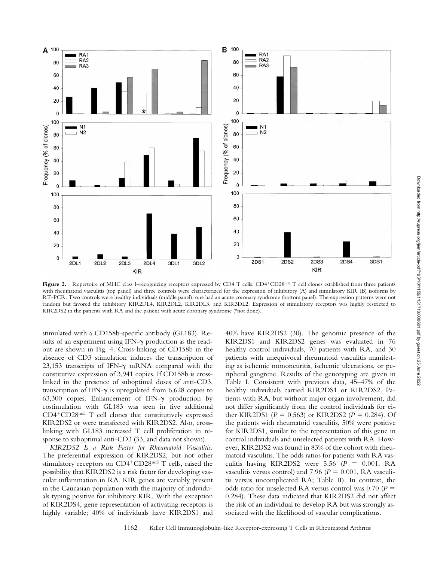

Figure 2. Repertoire of MHC class I–recognizing receptors expressed by CD4 T cells. CD4<sup>+</sup>CD28<sup>null</sup> T cell clones established from three patients with rheumatoid vasculitis (top panel) and three controls were characterized for the expression of inhibitory (A) and stimulatory KIR (B) isoforms by RT-PCR. Two controls were healthy individuals (middle panel), one had an acute coronary syndrome (bottom panel). The expression patterns were not random but favored the inhibitory KIR2DL4, KIR2DL2, KIR2DL3, and KIR3DL2. Expression of stimulatory receptors was highly restricted to KIR2DS2 in the patients with RA and the patient with acute coronary syndrome (\*not done).

stimulated with a CD158b-specific antibody (GL183). Results of an experiment using IFN- $\gamma$  production as the readout are shown in Fig. 4. Cross-linking of CD158b in the absence of CD3 stimulation induces the transcription of 23,153 transcripts of IFN- $\gamma$  mRNA compared with the constitutive expression of 3,941 copies. If CD158b is crosslinked in the presence of suboptimal doses of anti-CD3, transcription of IFN- $\gamma$  is upregulated from 6,628 copies to 63,300 copies. Enhancement of IFN-g production by costimulation with GL183 was seen in five additional  $CD4+CD28<sup>null</sup>$  T cell clones that constitutively expressed KIR2DS2 or were transfected with KIR2DS2. Also, crosslinking with GL183 increased T cell proliferation in response to suboptimal anti-CD3 (33, and data not shown).

*KIR2DS2 Is a Risk Factor for Rheumatoid Vasculitis.* The preferential expression of KIR2DS2, but not other stimulatory receptors on CD4+CD28null T cells, raised the possibility that KIR2DS2 is a risk factor for developing vascular inflammation in RA. KIR genes are variably present in the Caucasian population with the majority of individuals typing positive for inhibitory KIR. With the exception of KIR2DS4, gene representation of activating receptors is highly variable; 40% of individuals have KIR2DS1 and

40% have KIR2DS2 (30). The genomic presence of the KIR2DS1 and KIR2DS2 genes was evaluated in 76 healthy control individuals, 70 patients with RA, and 30 patients with unequivocal rheumatoid vasculitis manifesting as ischemic mononeuritis, ischemic ulcerations, or peripheral gangrene. Results of the genotyping are given in Table I. Consistent with previous data, 45–47% of the healthy individuals carried KIR2DS1 or KIR2DS2. Patients with RA, but without major organ involvement, did not differ significantly from the control individuals for either KIR2DS1 ( $P = 0.563$ ) or KIR2DS2 ( $P = 0.284$ ). Of the patients with rheumatoid vasculitis, 50% were positive for KIR2DS1, similar to the representation of this gene in control individuals and unselected patients with RA. However, KIR2DS2 was found in 83% of the cohort with rheumatoid vasculitis. The odds ratios for patients with RA vasculitis having KIR2DS2 were 5.56  $(P = 0.001, RA)$ vasculitis versus control) and 7.96 ( $P = 0.001$ , RA vasculitis versus uncomplicated RA; Table II). In contrast, the odds ratio for unselected RA versus control was  $0.70$  ( $P =$ 0.284). These data indicated that KIR2DS2 did not affect the risk of an individual to develop RA but was strongly associated with the likelihood of vascular complications.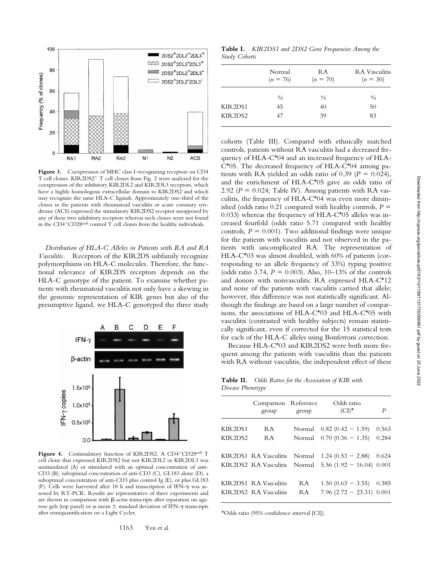

Figure 3. Coexpression of MHC class I–recognizing receptors on CD4 T cell clones. KIR2DS2<sup>+</sup> T cell clones from Fig. 2 were analyzed for the coexpression of the inhibitory KIR2DL2 and KIR2DL3 receptors, which have a highly homologous extracellular domain to KIR2DS2 and which may recognize the same HLA-C ligands. Approximately one-third of the clones in the patients with rheumatoid vasculitis or acute coronary syndrome (ACS) expressed the stimulatory KIR2DS2 receptor unopposed by any of these two inhibitory receptors whereas such clones were not found in the  $CD4+CD28$ <sup>null</sup> control T cell clones from the healthy individuals.

*Distribution of HLA-C Alleles in Patients with RA and RA Vasculitis.* Receptors of the KIR2DS subfamily recognize polymorphisms on HLA-C molecules. Therefore, the functional relevance of KIR2DS receptors depends on the HLA-C genotype of the patient. To examine whether patients with rheumatoid vasculitis not only have a skewing in the genomic representation of KIR genes but also of the presumptive ligand, we HLA-C genotyped the three study



Figure 4. Costimulatory function of KIR2DS2. A CD4<sup>+</sup>CD28<sup>null</sup> T cell clone that expressed KIR2DS2 but not KIR2DL2 or KIR2DL3 was unstimulated (A) or stimulated with an optimal concentration of anti-CD3 (B), suboptimal concentration of anti-CD3 (C), GL183 alone (D), a suboptimal concentration of anti-CD3 plus control Ig (E), or plus GL183 (F). Cells were harvested after 18 h and transcription of IFN-g was assessed by RT-PCR. Results are representative of three experiments and are shown in comparison with  $\beta$ -actin transcripts after separation on agarose gels (top panel) or as mean  $\pm$  standard deviation of IFN- $\gamma$  transcripts after semiquantification on a Light Cycler.

**Table I.** *KIR2DS1 and 2DS2 Gene Frequencies Among the Study Cohorts*

|         | Normal<br>$(n = 76)$ | RA<br>$(n = 70)$ | <b>RA</b> Vasculitis<br>$(n = 30)$ |
|---------|----------------------|------------------|------------------------------------|
|         | $\frac{0}{0}$        | $\frac{0}{0}$    | $\frac{0}{0}$                      |
| KIR2DS1 | 45                   | 40               | 50                                 |
| KIR2DS2 | 47                   | 39               | 83                                 |

cohorts (Table III). Compared with ethnically matched controls, patients without RA vasculitis had a decreased frequency of HLA-C\*04 and an increased frequency of HLA- $C^*05$ . The decreased frequency of HLA- $C^*04$  among patients with RA yielded an odds ratio of  $0.39$  ( $P = 0.024$ ), and the enrichment of HLA-C\*05 gave an odds ratio of 2.92 ( $P = 0.024$ ; Table IV). Among patients with RA vasculitis, the frequency of HLA-C\*04 was even more diminished (odds ratio  $0.21$  compared with healthy controls,  $P =$ 0.033) whereas the frequency of  $HLA-C^*05$  alleles was increased fourfold (odds ratio 5.71 compared with healthy controls,  $P = 0.001$ . Two additional findings were unique for the patients with vasculitis and not observed in the patients with uncomplicated RA. The representation of HLA-C\*03 was almost doubled, with 60% of patients (corresponding to an allele frequency of 33%) typing positive (odds ratio 3.74,  $P = 0.003$ ). Also, 10–13% of the controls and donors with nonvasculitic RA expressed HLA-C\*12 and none of the patients with vasculitis carried that allele; however, this difference was not statistically significant. Although the findings are based on a large number of comparisons, the associations of HLA-C\*03 and HLA-C\*05 with vasculitis (contrasted with healthy subjects) remain statistically significant, even if corrected for the 15 statistical tests for each of the HLA-C alleles using Bonferroni correction.

Because HLA-C\*03 and KIR2DS2 were both more frequent among the patients with vasculitis than the patients with RA without vasculitis, the independent effect of these

**Table II.** *Odds Ratios for the Association of KIR with Disease Phenotype*

|          | Comparison Reference<br>group | group | Odds ratio<br>$(CI)^*$                                  | P     |
|----------|-------------------------------|-------|---------------------------------------------------------|-------|
| KIR2DS1  | R A                           |       | Normal $0.82(0.42 - 1.59)$                              | 0.563 |
| KIR 2DS2 | RA                            |       | Normal $0.70(0.36 - 1.35)$                              | 0.284 |
|          |                               |       | KIR2DS1 RA Vasculitis Normal $1.24 (0.53 - 2.88)$ 0.624 |       |
|          |                               |       | KIR2DS2 RA Vasculitis Normal $5.56(1.92 - 16.04)$ 0.001 |       |
|          | KIR2DS1 RA Vasculitis         | RA    | $1.50(0.63 - 3.55)$ 0.385                               |       |
|          | KIR2DS2 RA Vasculitis         | R A   | $7.96(2.72 - 23.31)$ 0.001                              |       |

\*Odds ratio (95% confidence interval [CI]).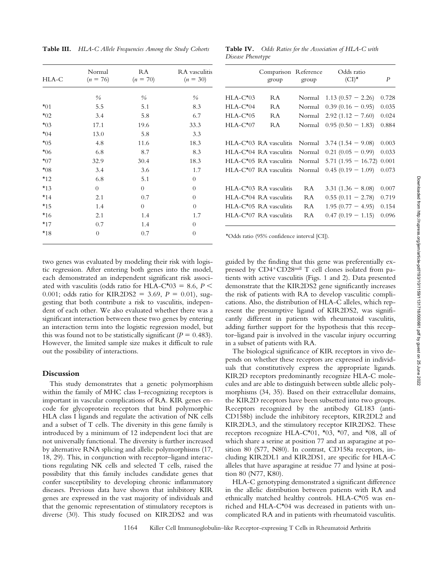**Table III.** *HLA-C Allele Frequencies Among the Study Cohorts*

| HLA-C    | Normal<br>$(n = 76)$ | RA<br>$(n = 70)$ | RA vasculitis<br>$(n = 30)$ |
|----------|----------------------|------------------|-----------------------------|
|          | $\frac{0}{0}$        | $\frac{0}{0}$    | $\frac{0}{0}$               |
| $*01$    | 5.5                  | 5.1              | 8.3                         |
| $*_{02}$ | 3.4                  | 5.8              | 6.7                         |
| $*_{03}$ | 17.1                 | 19.6             | 33.3                        |
| $*04$    | 13.0                 | 5.8              | 3.3                         |
| $*05$    | 4.8                  | 11.6             | 18.3                        |
| $*06$    | 6.8                  | 8.7              | 8.3                         |
| $*_{07}$ | 32.9                 | 30.4             | 18.3                        |
| $*08$    | 3.4                  | 3.6              | 1.7                         |
| $*_{12}$ | 6.8                  | 5.1              | $\overline{0}$              |
| $*13$    | $\overline{0}$       | $\overline{0}$   | $\theta$                    |
| $*14$    | 2.1                  | 0.7              | $\theta$                    |
| $*15$    | 1.4                  | $\overline{0}$   | $\overline{0}$              |
| $*16$    | 2.1                  | 1.4              | 1.7                         |
| $*_{17}$ | 0.7                  | 1.4              | $\overline{0}$              |
| $*18$    | $\overline{0}$       | 0.7              | $\theta$                    |

**Table IV.** *Odds Ratios for the Association of HLA-C with Disease Phenotype*

|            | Comparison Reference<br>group              | group  | Odds ratio<br>$(CI)^*$ | $\boldsymbol{P}$ |
|------------|--------------------------------------------|--------|------------------------|------------------|
| $HLA-C*03$ | R A                                        | Normal | $1.13(0.57 - 2.26)$    | 0.728            |
| $HLA-C*04$ | R A                                        | Normal | $0.39(0.16 - 0.95)$    | 0.035            |
| $HLA-C*05$ | RA                                         | Normal | $2.92(1.12 - 7.60)$    | 0.024            |
| $HLA-C*07$ | R A                                        | Normal | $0.95(0.50 - 1.83)$    | 0.884            |
|            |                                            |        |                        |                  |
|            | HLA-C <sup>*</sup> 03 RA vasculitis        | Normal | $3.74(1.54 - 9.08)$    | 0.003            |
|            | HLA-C <sup>*</sup> 04 RA vasculitis        | Normal | $0.21(0.05 - 0.99)$    | 0.033            |
|            | HLA-C <sup>*</sup> 05 RA vasculitis Normal |        | $5.71(1.95 - 16.72)$   | 0.001            |
|            | HLA-C*07 RA vasculitis Normal              |        | $0.45(0.19 - 1.09)$    | 0.073            |
|            |                                            |        |                        |                  |
|            | HLA-C <sup>*</sup> 03 RA vasculitis        | R A    | $3.31(1.36 - 8.08)$    | 0.007            |
|            | $HLA-C^*04$ RA vasculitis                  | R A    | $0.55(0.11 - 2.78)$    | 0.719            |
|            | $HLA-C*05$ RA vasculitis                   | R A    | $1.95(0.77 - 4.95)$    | 0.154            |
|            | $HLA-C^*07$ RA vasculitis                  | R A    | $0.47(0.19 - 1.15)$    | 0.096            |
|            |                                            |        |                        |                  |

two genes was evaluated by modeling their risk with logistic regression. After entering both genes into the model, each demonstrated an independent significant risk associated with vasculitis (odds ratio for HLA-C<sup>\*</sup>03 = 8.6,  $P \leq$ 0.001; odds ratio for KIR2DS2 = 3.69,  $P = 0.01$ ), suggesting that both contribute a risk to vasculitis, independent of each other. We also evaluated whether there was a significant interaction between these two genes by entering an interaction term into the logistic regression model, but this was found not to be statistically significant  $(P = 0.483)$ . However, the limited sample size makes it difficult to rule out the possibility of interactions.

## **Discussion**

This study demonstrates that a genetic polymorphism within the family of MHC class I–recognizing receptors is important in vascular complications of RA. KIR genes encode for glycoprotein receptors that bind polymorphic HLA class I ligands and regulate the activation of NK cells and a subset of T cells. The diversity in this gene family is introduced by a minimum of 12 independent loci that are not universally functional. The diversity is further increased by alternative RNA splicing and allelic polymorphisms (17, 18, 29). This, in conjunction with receptor–ligand interactions regulating NK cells and selected T cells, raised the possibility that this family includes candidate genes that confer susceptibility to developing chronic inflammatory diseases. Previous data have shown that inhibitory KIR genes are expressed in the vast majority of individuals and that the genomic representation of stimulatory receptors is diverse (30). This study focused on KIR2DS2 and was \*Odds ratio (95% confidence interval [CI]).

guided by the finding that this gene was preferentially expressed by  $CD4+CD28$ <sup>null</sup> T cell clones isolated from patients with active vasculitis (Figs. 1 and 2). Data presented demonstrate that the KIR2DS2 gene significantly increases the risk of patients with RA to develop vasculitic complications. Also, the distribution of HLA-C alleles, which represent the presumptive ligand of KIR2DS2, was significantly different in patients with rheumatoid vasculitis, adding further support for the hypothesis that this receptor–ligand pair is involved in the vascular injury occurring in a subset of patients with RA.

The biological significance of KIR receptors in vivo depends on whether these receptors are expressed in individuals that constitutively express the appropriate ligands. KIR2D receptors predominantly recognize HLA-C molecules and are able to distinguish between subtle allelic polymorphisms (34, 35). Based on their extracellular domains, the KIR2D receptors have been subsetted into two groups. Receptors recognized by the antibody GL183 (anti-CD158b) include the inhibitory receptors, KIR2DL2 and KIR2DL3, and the stimulatory receptor KIR2DS2. These receptors recognize HLA-C $*01$ ,  $*03$ ,  $*07$ , and  $*08$ , all of which share a serine at position 77 and an asparagine at position 80 (S77, N80). In contrast, CD158a receptors, including KIR2DL1 and KIR2DS1, are specific for HLA-C alleles that have asparagine at residue 77 and lysine at position 80 (N77, K80).

HLA-C genotyping demonstrated a significant difference in the allelic distribution between patients with RA and ethnically matched healthy controls. HLA-C\*05 was enriched and HLA-C\*04 was decreased in patients with uncomplicated RA and in patients with rheumatoid vasculitis.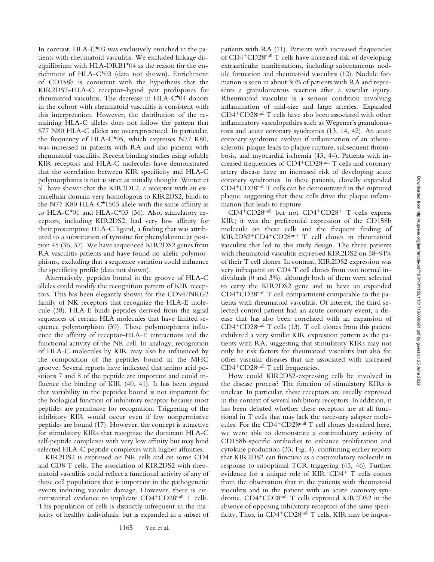In contrast, HLA-C\*03 was exclusively enriched in the patients with rheumatoid vasculitis. We excluded linkage disequilibrium with HLA-DRB1\*04 as the reason for the enrichment of HLA-C\*03 (data not shown). Enrichment of CD158b is consistent with the hypothesis that the KIR2DS2–HLA-C receptor–ligand pair predisposes for rheumatoid vasculitis. The decrease in HLA-C\*04 donors in the cohort with rheumatoid vasculitis is consistent with this interpretation. However, the distribution of the remaining HLA-C alleles does not follow the pattern that S77 N80 HLA-C alleles are overrepresented. In particular, the frequency of HLA-C\*05, which expresses N77 K80, was increased in patients with RA and also patients with rheumatoid vasculitis. Recent binding studies using soluble KIR receptors and HLA-C molecules have demonstrated that the correlation between KIR specificity and HLA-C polymorphisms is not as strict as initially thought. Winter et al*.* have shown that the KIR2DL2, a receptor with an extracellular domain very homologous to KIR2DS2, binds to the N77 K80 HLA-C\*1503 allele with the same affinity as to HLA-C $*01$  and HLA-C $*03$  (36). Also, stimulatory receptors, including KIR2DS2, had very low affinity for their presumptive HLA-C ligand, a finding that was attributed to a substitution of tyrosine for phenylalanine at position 45 (36, 37). We have sequenced KIR2DS2 genes from RA vasculitis patients and have found no allelic polymorphisms, excluding that a sequence variation could influence the specificity profile (data not shown).

Alternatively, peptides bound in the groove of HLA-C alleles could modify the recognition pattern of KIR receptors. This has been elegantly shown for the CD94/NKG2 family of NK receptors that recognize the HLA-E molecule (38). HLA-E binds peptides derived from the signal sequences of certain HLA molecules that have limited sequence polymorphism (39). These polymorphisms influence the affinity of receptor–HLA-E interactions and the functional activity of the NK cell. In analogy, recognition of HLA-C molecules by KIR may also be influenced by the composition of the peptides bound in the MHC groove. Several reports have indicated that amino acid positions 7 and 8 of the peptide are important and could influence the binding of KIR (40, 41). It has been argued that variability in the peptides bound is not important for the biological function of inhibitory receptor because most peptides are permissive for recognition. Triggering of the inhibitory KIR would occur even if few nonpermissive peptides are bound (17). However, the concept is attractive for stimulatory KIRs that recognize the dominant HLA-C self-peptide complexes with very low affinity but may bind selected HLA-C peptide complexes with higher affinities.

KIR2DS2 is expressed on NK cells and on some CD4 and CD8 T cells. The association of KIR2DS2 with rheumatoid vasculitis could reflect a functional activity of any of these cell populations that is important in the pathogenetic events inducing vascular damage. However, there is circumstantial evidence to implicate CD4+CD28null T cells. This population of cells is distinctly infrequent in the majority of healthy individuals, but is expanded in a subset of patients with RA (11). Patients with increased frequencies of CD4<sup>+</sup>CD28<sup>null</sup> T cells have increased risk of developing extraarticular manifestations, including subcutaneous nodule formation and rheumatoid vasculitis (12). Nodule formation is seen in about 30% of patients with RA and represents a granulomatous reaction after a vascular injury. Rheumatoid vasculitis is a serious condition involving inflammation of mid-size and large arteries. Expanded  $CD4+CD28<sup>null</sup>$  T cells have also been associated with other inflammatory vasculopathies such as Wegener's granulomatosis and acute coronary syndromes (13, 14, 42). An acute coronary syndrome evolves if inflammation of an atherosclerotic plaque leads to plaque rupture, subsequent thrombosis, and myocardial ischemia (43, 44). Patients with increased frequencies of  $CD4+CD28$ <sup>null</sup> T cells and coronary artery disease have an increased risk of developing acute coronary syndromes. In these patients, clonally expanded  $CD4+CD28<sup>null</sup>$  T cells can be demonstrated in the ruptured plaque, suggesting that these cells drive the plaque inflammation that leads to rupture.

 $CD4+CD28$ <sup>null</sup> but not  $CD4+CD28+$  T cells express KIR; it was the preferential expression of the CD158b molecule on these cells and the frequent finding of KIR2DS2+CD4+CD28null T cell clones in rheumatoid vasculitis that led to this study design. The three patients with rheumatoid vasculitis expressed KIR2DS2 on 58–91% of their T cell clones. In contrast, KIR2DS2 expression was very infrequent on CD4 T cell clones from two normal individuals (0 and 3%), although both of them were selected to carry the KIR2DS2 gene and to have an expanded  $CD4+CD28<sup>null</sup>$  T cell compartment comparable to the patients with rheumatoid vasculitis. Of interest, the third selected control patient had an acute coronary event, a disease that has also been correlated with an expansion of  $CD4+CD28<sup>null</sup>$  T cells (13). T cell clones from this patient exhibited a very similar KIR expression pattern as the patients with RA, suggesting that stimulatory KIRs may not only be risk factors for rheumatoid vasculitis but also for other vascular diseases that are associated with increased CD4<sup>+</sup>CD28<sup>null</sup> T cell frequencies.

How could KIR2DS2-expressing cells be involved in the disease process? The function of stimulatory KIRs is unclear. In particular, these receptors are usually expressed in the context of several inhibitory receptors. In addition, it has been debated whether these receptors are at all functional in T cells that may lack the necessary adapter molecules. For the CD4<sup>+</sup>CD28<sup>null</sup> T cell clones described here, we were able to demonstrate a costimulatory activity of CD158b-specific antibodies to enhance proliferation and cytokine production (33; Fig. 4), confirming earlier reports that KIR2DS2 can function as a costimulatory molecule in response to suboptimal TCR triggering (45, 46). Further evidence for a unique role of  $KIR<sup>+</sup>CD4<sup>+</sup>$  T cells comes from the observation that in the patients with rheumatoid vasculitis and in the patient with an acute coronary syndrome, CD4<sup>+</sup>CD28<sup>null</sup> T cells expressed KIR2DS2 in the absence of opposing inhibitory receptors of the same specificity. Thus, in  $CD4+CD28$ <sup>null</sup> T cells, KIR may be impor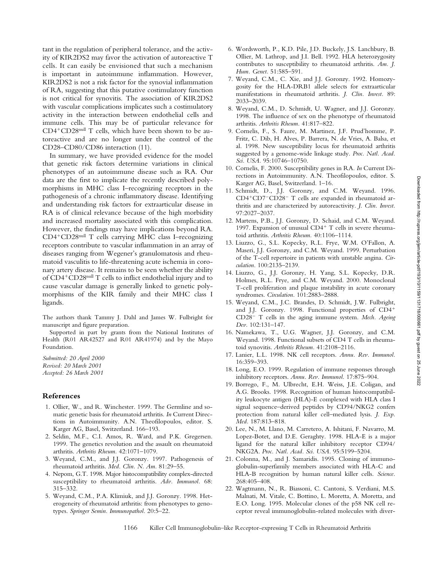tant in the regulation of peripheral tolerance, and the activity of KIR2DS2 may favor the activation of autoreactive T cells. It can easily be envisioned that such a mechanism is important in autoimmune inflammation. However, KIR2DS2 is not a risk factor for the synovial inflammation of RA, suggesting that this putative costimulatory function is not critical for synovitis. The association of KIR2DS2 with vascular complications implicates such a costimulatory activity in the interaction between endothelial cells and immune cells. This may be of particular relevance for  $CD4+CD28<sup>null</sup>$  T cells, which have been shown to be autoreactive and are no longer under the control of the CD28–CD80/CD86 interaction (11).

In summary, we have provided evidence for the model that genetic risk factors determine variations in clinical phenotypes of an autoimmune disease such as RA. Our data are the first to implicate the recently described polymorphisms in MHC class I–recognizing receptors in the pathogenesis of a chronic inflammatory disease. Identifying and understanding risk factors for extraarticular disease in RA is of clinical relevance because of the high morbidity and increased mortality associated with this complication. However, the findings may have implications beyond RA. CD4<sup>+</sup>CD28<sup>null</sup> T cells carrying MHC class I–recognizing receptors contribute to vascular inflammation in an array of diseases ranging from Wegener's granulomatosis and rheumatoid vasculitis to life-threatening acute ischemia in coronary artery disease. It remains to be seen whether the ability of CD4<sup>+</sup>CD28<sup>null</sup> T cells to inflict endothelial injury and to cause vascular damage is generally linked to genetic polymorphisms of the KIR family and their MHC class I ligands.

The authors thank Tammy J. Dahl and James W. Fulbright for manuscript and figure preparation.

Supported in part by grants from the National Institutes of Health (R01 AR42527 and R01 AR41974) and by the Mayo Foundation.

*Submitted: 20 April 2000 Revised: 20 March 2001 Accepted: 26 March 2001*

### **References**

- 1. Ollier, W., and R. Winchester. 1999. The Germline and somatic genetic basis for rheumatoid arthritis. *In* Current Directions in Autoimmunity. A.N. Theofilopoulos, editor. S. Karger AG, Basel, Switzerland. 166–193.
- 2. Seldin, M.F., C.I. Amos, R. Ward, and P.K. Gregersen. 1999. The genetics revolution and the assault on rheumatoid arthritis. *Arthritis Rheum.* 42:1071–1079.
- 3. Weyand, C.M., and J.J. Goronzy. 1997. Pathogenesis of rheumatoid arthritis. *Med. Clin. N. Am.* 81:29–55.
- 4. Nepom, G.T. 1998. Major histocompatibility complex-directed susceptibility to rheumatoid arthritis. *Adv. Immunol.* 68: 315–332.
- 5. Weyand, C.M., P.A. Klimiuk, and J.J. Goronzy. 1998. Heterogeneity of rheumatoid arthritis: from phenotypes to genotypes. *Springer Semin. Immunopathol.* 20:5–22.
- 6. Wordsworth, P., K.D. Pile, J.D. Buckely, J.S. Lanchbury, B. Ollier, M. Lathrop, and J.I. Bell. 1992. HLA heterozygosity contributes to susceptibility to rheumatoid arthritis. *Am. J. Hum. Genet.* 51:585–591.
- 7. Weyand, C.M., C. Xie, and J.J. Goronzy. 1992. Homozygosity for the HLA-DRB1 allele selects for extraarticular manifestations in rheumatoid arthritis. *J. Clin. Invest.* 89: 2033–2039.
- 8. Weyand, C.M., D. Schmidt, U. Wagner, and J.J. Goronzy. 1998. The influence of sex on the phenotype of rheumatoid arthritis. *Arthritis Rheum.* 41:817–822.
- 9. Cornelis, F., S. Faure, M. Martinez, J.F. Prud'homme, P. Fritz, C. Dib, H. Alves, P. Barrera, N. de Vries, A. Balsa, et al. 1998. New susceptibility locus for rheumatoid arthritis suggested by a genome-wide linkage study. *Proc. Natl. Acad. Sci. USA.* 95:10746–10750.
- 10. Cornelis, F. 2000. Susceptibility genes in RA. *In* Current Directions in Autoimmunity. A.N. Theofilopoulos, editor. S. Karger AG, Basel, Switzerland. 1–16.
- 11. Schmidt, D., J.J. Goronzy, and C.M. Weyand. 1996. CD4+CD7-CD28- T cells are expanded in rheumatoid arthritis and are characterized by autoreactivity. *J. Clin. Invest.* 97:2027–2037.
- 12. Martens, P.B., J.J. Goronzy, D. Schaid, and C.M. Weyand. 1997. Expansion of unusual  $CD4^+$  T cells in severe rheumatoid arthritis. *Arthritis Rheum.* 40:1106–1114.
- 13. Liuzzo, G., S.L. Kopecky, R.L. Frye, W.M. O'Fallon, A. Maseri, J.J. Goronzy, and C.M. Weyand. 1999. Perturbation of the T-cell repertoire in patients with unstable angina. *Circulation.* 100:2135–2139.
- 14. Liuzzo, G., J.J. Goronzy, H. Yang, S.L. Kopecky, D.R. Holmes, R.L. Frye, and C.M. Weyand. 2000. Monoclonal T-cell proliferation and plaque instability in acute coronary syndromes. *Circulation.* 101:2883–2888.
- 15. Weyand, C.M., J.C. Brandes, D. Schmidt, J.W. Fulbright, and J.J. Goronzy. 1998. Functional properties of  $CD4$ <sup>+</sup> CD28<sup>2</sup> T cells in the aging immune system. *Mech. Ageing Dev.* 102:131–147.
- 16. Namekawa, T., U.G. Wagner, J.J. Goronzy, and C.M. Weyand. 1998. Functional subsets of CD4 T cells in rheumatoid synovitis. *Arthritis Rheum.* 41:2108–2116.
- 17. Lanier, L.L. 1998. NK cell receptors. *Annu. Rev. Immunol.* 16:359–393.
- 18. Long, E.O. 1999. Regulation of immune responses through inhibitory receptors. *Annu. Rev. Immunol.* 17:875–904.
- 19. Borrego, F., M. Ulbrecht, E.H. Weiss, J.E. Coligan, and A.G. Brooks. 1998. Recognition of human histocompatibility leukocyte antigen (HLA)-E complexed with HLA class I signal sequence–derived peptides by CD94/NKG2 confers protection from natural killer cell–mediated lysis. *J. Exp. Med.* 187:813–818.
- 20. Lee, N., M. Llano, M. Carretero, A. Ishitani, F. Navarro, M. Lopez-Botet, and D.E. Geraghty. 1998. HLA-E is a major ligand for the natural killer inhibitory receptor CD94/ NKG2A. *Proc. Natl. Acad. Sci. USA.* 95:5199–5204.
- 21. Colonna, M., and J. Samaridis. 1995. Cloning of immunoglobulin-superfamily members associated with HLA-C and HLA-B recognition by human natural killer cells. *Science.* 268:405–408.
- 22. Wagtmann, N., R. Biassoni, C. Cantoni, S. Verdiani, M.S. Malnati, M. Vitale, C. Bottino, L. Moretta, A. Moretta, and E.O. Long. 1995. Molecular clones of the p58 NK cell receptor reveal immunoglobulin-related molecules with diver-